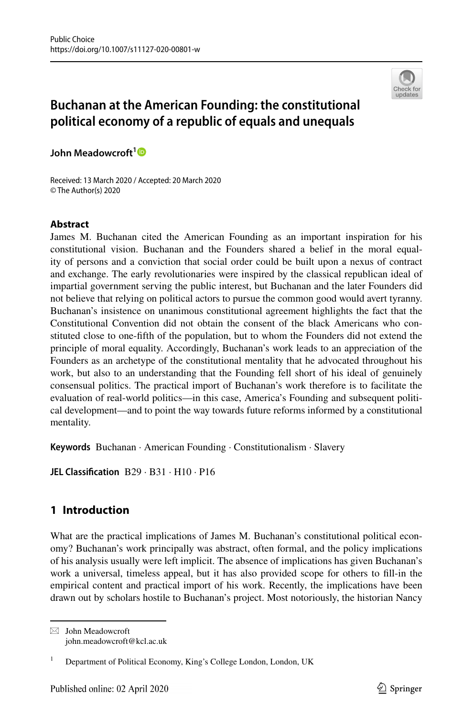

# **Buchanan at the American Founding: the constitutional political economy of a republic of equals and unequals**

**John Meadowcroft[1](http://orcid.org/0000-0001-6544-3409)**

Received: 13 March 2020 / Accepted: 20 March 2020 © The Author(s) 2020

## **Abstract**

James M. Buchanan cited the American Founding as an important inspiration for his constitutional vision. Buchanan and the Founders shared a belief in the moral equality of persons and a conviction that social order could be built upon a nexus of contract and exchange. The early revolutionaries were inspired by the classical republican ideal of impartial government serving the public interest, but Buchanan and the later Founders did not believe that relying on political actors to pursue the common good would avert tyranny. Buchanan's insistence on unanimous constitutional agreement highlights the fact that the Constitutional Convention did not obtain the consent of the black Americans who constituted close to one-ffth of the population, but to whom the Founders did not extend the principle of moral equality. Accordingly, Buchanan's work leads to an appreciation of the Founders as an archetype of the constitutional mentality that he advocated throughout his work, but also to an understanding that the Founding fell short of his ideal of genuinely consensual politics. The practical import of Buchanan's work therefore is to facilitate the evaluation of real-world politics—in this case, America's Founding and subsequent political development—and to point the way towards future reforms informed by a constitutional mentality.

**Keywords** Buchanan · American Founding · Constitutionalism · Slavery

**JEL Classifcation** B29 · B31 · H10 · P16

# **1 Introduction**

What are the practical implications of James M. Buchanan's constitutional political economy? Buchanan's work principally was abstract, often formal, and the policy implications of his analysis usually were left implicit. The absence of implications has given Buchanan's work a universal, timeless appeal, but it has also provided scope for others to fll-in the empirical content and practical import of his work. Recently, the implications have been drawn out by scholars hostile to Buchanan's project. Most notoriously, the historian Nancy

 $\boxtimes$  John Meadowcroft john.meadowcroft@kcl.ac.uk

<sup>&</sup>lt;sup>1</sup> Department of Political Economy, King's College London, London, UK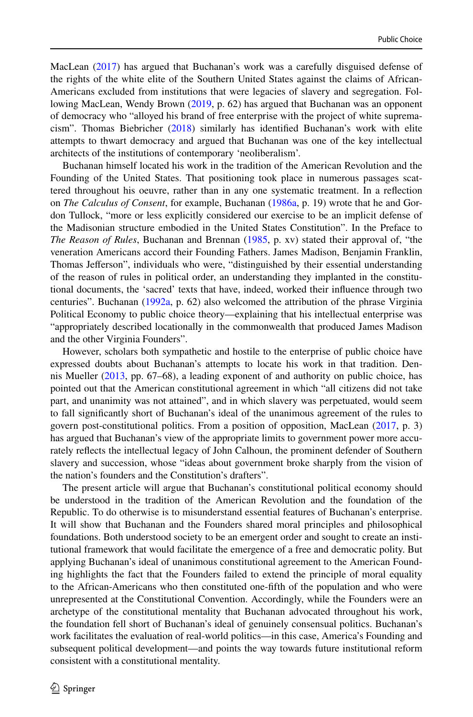MacLean [\(2017](#page-13-0)) has argued that Buchanan's work was a carefully disguised defense of the rights of the white elite of the Southern United States against the claims of African-Americans excluded from institutions that were legacies of slavery and segregation. Following MacLean, Wendy Brown ([2019,](#page-12-0) p. 62) has argued that Buchanan was an opponent of democracy who "alloyed his brand of free enterprise with the project of white supremacism". Thomas Biebricher [\(2018](#page-12-1)) similarly has identifed Buchanan's work with elite attempts to thwart democracy and argued that Buchanan was one of the key intellectual architects of the institutions of contemporary 'neoliberalism'.

Buchanan himself located his work in the tradition of the American Revolution and the Founding of the United States. That positioning took place in numerous passages scattered throughout his oeuvre, rather than in any one systematic treatment. In a refection on *The Calculus of Consent*, for example, Buchanan [\(1986a,](#page-12-2) p. 19) wrote that he and Gordon Tullock, "more or less explicitly considered our exercise to be an implicit defense of the Madisonian structure embodied in the United States Constitution". In the Preface to *The Reason of Rules*, Buchanan and Brennan ([1985,](#page-12-3) p. xv) stated their approval of, "the veneration Americans accord their Founding Fathers. James Madison, Benjamin Franklin, Thomas Jefferson", individuals who were, "distinguished by their essential understanding of the reason of rules in political order, an understanding they implanted in the constitutional documents, the 'sacred' texts that have, indeed, worked their infuence through two centuries". Buchanan [\(1992a](#page-12-4), p. 62) also welcomed the attribution of the phrase Virginia Political Economy to public choice theory—explaining that his intellectual enterprise was "appropriately described locationally in the commonwealth that produced James Madison and the other Virginia Founders".

However, scholars both sympathetic and hostile to the enterprise of public choice have expressed doubts about Buchanan's attempts to locate his work in that tradition. Dennis Mueller [\(2013](#page-13-1), pp. 67–68), a leading exponent of and authority on public choice, has pointed out that the American constitutional agreement in which "all citizens did not take part, and unanimity was not attained", and in which slavery was perpetuated, would seem to fall signifcantly short of Buchanan's ideal of the unanimous agreement of the rules to govern post-constitutional politics. From a position of opposition, MacLean [\(2017](#page-13-0), p. 3) has argued that Buchanan's view of the appropriate limits to government power more accurately refects the intellectual legacy of John Calhoun, the prominent defender of Southern slavery and succession, whose "ideas about government broke sharply from the vision of the nation's founders and the Constitution's drafters".

The present article will argue that Buchanan's constitutional political economy should be understood in the tradition of the American Revolution and the foundation of the Republic. To do otherwise is to misunderstand essential features of Buchanan's enterprise. It will show that Buchanan and the Founders shared moral principles and philosophical foundations. Both understood society to be an emergent order and sought to create an institutional framework that would facilitate the emergence of a free and democratic polity. But applying Buchanan's ideal of unanimous constitutional agreement to the American Founding highlights the fact that the Founders failed to extend the principle of moral equality to the African-Americans who then constituted one-ffth of the population and who were unrepresented at the Constitutional Convention. Accordingly, while the Founders were an archetype of the constitutional mentality that Buchanan advocated throughout his work, the foundation fell short of Buchanan's ideal of genuinely consensual politics. Buchanan's work facilitates the evaluation of real-world politics—in this case, America's Founding and subsequent political development—and points the way towards future institutional reform consistent with a constitutional mentality.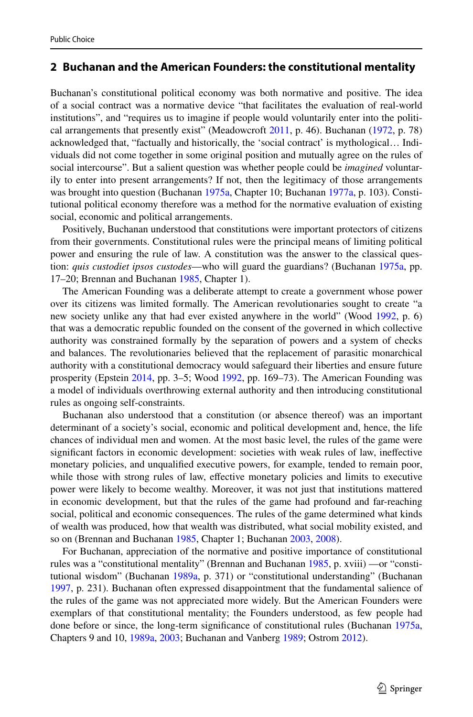## **2 Buchanan and the American Founders: the constitutional mentality**

Buchanan's constitutional political economy was both normative and positive. The idea of a social contract was a normative device "that facilitates the evaluation of real-world institutions", and "requires us to imagine if people would voluntarily enter into the political arrangements that presently exist" (Meadowcroft [2011](#page-13-2), p. 46). Buchanan ([1972,](#page-12-5) p. 78) acknowledged that, "factually and historically, the 'social contract' is mythological… Individuals did not come together in some original position and mutually agree on the rules of social intercourse". But a salient question was whether people could be *imagined* voluntarily to enter into present arrangements? If not, then the legitimacy of those arrangements was brought into question (Buchanan [1975a](#page-12-6), Chapter 10; Buchanan [1977a](#page-12-7), p. 103). Constitutional political economy therefore was a method for the normative evaluation of existing social, economic and political arrangements.

Positively, Buchanan understood that constitutions were important protectors of citizens from their governments. Constitutional rules were the principal means of limiting political power and ensuring the rule of law. A constitution was the answer to the classical question: *quis custodiet ipsos custodes*—who will guard the guardians? (Buchanan [1975a](#page-12-6), pp. 17–20; Brennan and Buchanan [1985](#page-12-3), Chapter 1).

The American Founding was a deliberate attempt to create a government whose power over its citizens was limited formally. The American revolutionaries sought to create "a new society unlike any that had ever existed anywhere in the world" (Wood [1992](#page-14-0), p. 6) that was a democratic republic founded on the consent of the governed in which collective authority was constrained formally by the separation of powers and a system of checks and balances. The revolutionaries believed that the replacement of parasitic monarchical authority with a constitutional democracy would safeguard their liberties and ensure future prosperity (Epstein [2014](#page-13-3), pp. 3–5; Wood [1992,](#page-14-0) pp. 169–73). The American Founding was a model of individuals overthrowing external authority and then introducing constitutional rules as ongoing self-constraints.

Buchanan also understood that a constitution (or absence thereof) was an important determinant of a society's social, economic and political development and, hence, the life chances of individual men and women. At the most basic level, the rules of the game were signifcant factors in economic development: societies with weak rules of law, inefective monetary policies, and unqualifed executive powers, for example, tended to remain poor, while those with strong rules of law, efective monetary policies and limits to executive power were likely to become wealthy. Moreover, it was not just that institutions mattered in economic development, but that the rules of the game had profound and far-reaching social, political and economic consequences. The rules of the game determined what kinds of wealth was produced, how that wealth was distributed, what social mobility existed, and so on (Brennan and Buchanan [1985](#page-12-3), Chapter 1; Buchanan [2003,](#page-13-4) [2008](#page-13-5)).

For Buchanan, appreciation of the normative and positive importance of constitutional rules was a "constitutional mentality" (Brennan and Buchanan [1985](#page-12-3), p. xviii) —or "constitutional wisdom" (Buchanan [1989a,](#page-12-8) p. 371) or "constitutional understanding" (Buchanan [1997,](#page-13-6) p. 231). Buchanan often expressed disappointment that the fundamental salience of the rules of the game was not appreciated more widely. But the American Founders were exemplars of that constitutional mentality; the Founders understood, as few people had done before or since, the long-term signifcance of constitutional rules (Buchanan [1975a](#page-12-6), Chapters 9 and 10, [1989a, 2003](#page-12-8); Buchanan and Vanberg [1989;](#page-13-7) Ostrom [2012\)](#page-13-8).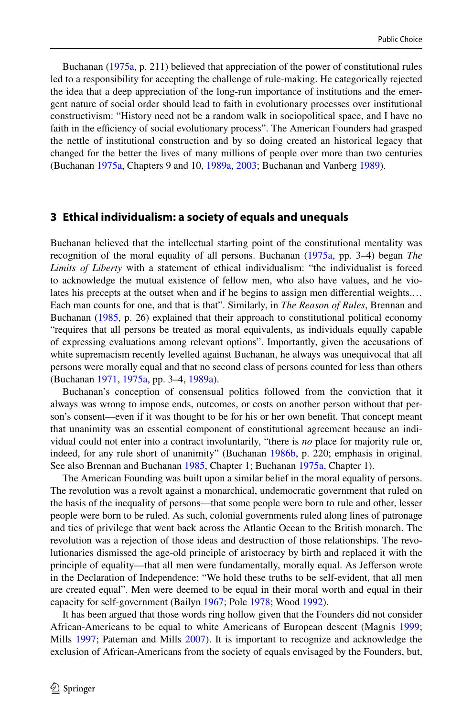Buchanan ([1975a,](#page-12-6) p. 211) believed that appreciation of the power of constitutional rules led to a responsibility for accepting the challenge of rule-making. He categorically rejected the idea that a deep appreciation of the long-run importance of institutions and the emergent nature of social order should lead to faith in evolutionary processes over institutional constructivism: "History need not be a random walk in sociopolitical space, and I have no faith in the efficiency of social evolutionary process". The American Founders had grasped the nettle of institutional construction and by so doing created an historical legacy that changed for the better the lives of many millions of people over more than two centuries (Buchanan [1975a](#page-12-6), Chapters 9 and 10, [1989a,](#page-12-8) [2003;](#page-12-8) Buchanan and Vanberg [1989](#page-13-7)).

#### **3 Ethical individualism: a society of equals and unequals**

Buchanan believed that the intellectual starting point of the constitutional mentality was recognition of the moral equality of all persons. Buchanan ([1975a](#page-12-6), pp. 3–4) began *The Limits of Liberty* with a statement of ethical individualism: "the individualist is forced to acknowledge the mutual existence of fellow men, who also have values, and he violates his precepts at the outset when and if he begins to assign men diferential weights.… Each man counts for one, and that is that". Similarly, in *The Reason of Rules*, Brennan and Buchanan [\(1985](#page-12-3), p. 26) explained that their approach to constitutional political economy "requires that all persons be treated as moral equivalents, as individuals equally capable of expressing evaluations among relevant options". Importantly, given the accusations of white supremacism recently levelled against Buchanan, he always was unequivocal that all persons were morally equal and that no second class of persons counted for less than others (Buchanan [1971](#page-12-9), [1975a](#page-12-6), pp. 3–4, [1989a](#page-12-8)).

Buchanan's conception of consensual politics followed from the conviction that it always was wrong to impose ends, outcomes, or costs on another person without that person's consent—even if it was thought to be for his or her own beneft. That concept meant that unanimity was an essential component of constitutional agreement because an individual could not enter into a contract involuntarily, "there is *no* place for majority rule or, indeed, for any rule short of unanimity" (Buchanan [1986b,](#page-12-10) p. 220; emphasis in original. See also Brennan and Buchanan [1985](#page-12-3), Chapter 1; Buchanan [1975a,](#page-12-6) Chapter 1).

The American Founding was built upon a similar belief in the moral equality of persons. The revolution was a revolt against a monarchical, undemocratic government that ruled on the basis of the inequality of persons—that some people were born to rule and other, lesser people were born to be ruled. As such, colonial governments ruled along lines of patronage and ties of privilege that went back across the Atlantic Ocean to the British monarch. The revolution was a rejection of those ideas and destruction of those relationships. The revolutionaries dismissed the age-old principle of aristocracy by birth and replaced it with the principle of equality—that all men were fundamentally, morally equal. As Jefferson wrote in the Declaration of Independence: "We hold these truths to be self-evident, that all men are created equal". Men were deemed to be equal in their moral worth and equal in their capacity for self-government (Bailyn [1967](#page-12-11); Pole [1978](#page-13-9); Wood [1992](#page-14-0)).

It has been argued that those words ring hollow given that the Founders did not consider African-Americans to be equal to white Americans of European descent (Magnis [1999;](#page-13-10) Mills [1997](#page-13-11); Pateman and Mills [2007](#page-13-12)). It is important to recognize and acknowledge the exclusion of African-Americans from the society of equals envisaged by the Founders, but,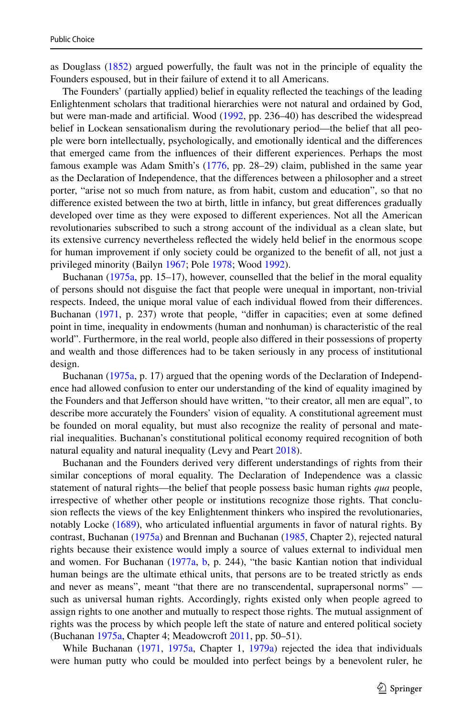as Douglass [\(1852](#page-13-13)) argued powerfully, the fault was not in the principle of equality the Founders espoused, but in their failure of extend it to all Americans.

The Founders' (partially applied) belief in equality refected the teachings of the leading Enlightenment scholars that traditional hierarchies were not natural and ordained by God, but were man-made and artifcial. Wood [\(1992](#page-14-0), pp. 236–40) has described the widespread belief in Lockean sensationalism during the revolutionary period—the belief that all people were born intellectually, psychologically, and emotionally identical and the diferences that emerged came from the infuences of their diferent experiences. Perhaps the most famous example was Adam Smith's ([1776,](#page-14-1) pp. 28–29) claim, published in the same year as the Declaration of Independence, that the diferences between a philosopher and a street porter, "arise not so much from nature, as from habit, custom and education", so that no diference existed between the two at birth, little in infancy, but great diferences gradually developed over time as they were exposed to diferent experiences. Not all the American revolutionaries subscribed to such a strong account of the individual as a clean slate, but its extensive currency nevertheless refected the widely held belief in the enormous scope for human improvement if only society could be organized to the beneft of all, not just a privileged minority (Bailyn [1967;](#page-12-11) Pole [1978;](#page-13-9) Wood [1992\)](#page-14-0).

Buchanan ([1975a](#page-12-6), pp. 15–17), however, counselled that the belief in the moral equality of persons should not disguise the fact that people were unequal in important, non-trivial respects. Indeed, the unique moral value of each individual fowed from their diferences. Buchanan ([1971,](#page-12-9) p. 237) wrote that people, "differ in capacities; even at some defined point in time, inequality in endowments (human and nonhuman) is characteristic of the real world". Furthermore, in the real world, people also difered in their possessions of property and wealth and those diferences had to be taken seriously in any process of institutional design.

Buchanan ([1975a,](#page-12-6) p. 17) argued that the opening words of the Declaration of Independence had allowed confusion to enter our understanding of the kind of equality imagined by the Founders and that Jefferson should have written, "to their creator, all men are equal", to describe more accurately the Founders' vision of equality. A constitutional agreement must be founded on moral equality, but must also recognize the reality of personal and material inequalities. Buchanan's constitutional political economy required recognition of both natural equality and natural inequality (Levy and Peart [2018](#page-13-14)).

Buchanan and the Founders derived very diferent understandings of rights from their similar conceptions of moral equality. The Declaration of Independence was a classic statement of natural rights—the belief that people possess basic human rights *qua* people, irrespective of whether other people or institutions recognize those rights. That conclusion refects the views of the key Enlightenment thinkers who inspired the revolutionaries, notably Locke ([1689\)](#page-13-15), who articulated infuential arguments in favor of natural rights. By contrast, Buchanan [\(1975a](#page-12-6)) and Brennan and Buchanan ([1985,](#page-12-3) Chapter 2), rejected natural rights because their existence would imply a source of values external to individual men and women. For Buchanan ([1977a](#page-12-7), [b,](#page-12-12) p. 244), "the basic Kantian notion that individual human beings are the ultimate ethical units, that persons are to be treated strictly as ends and never as means", meant "that there are no transcendental, suprapersonal norms" such as universal human rights. Accordingly, rights existed only when people agreed to assign rights to one another and mutually to respect those rights. The mutual assignment of rights was the process by which people left the state of nature and entered political society (Buchanan [1975a](#page-12-6), Chapter 4; Meadowcroft [2011,](#page-13-2) pp. 50–51).

While Buchanan ([1971,](#page-12-9) [1975a](#page-12-6), Chapter 1, [1979a\)](#page-12-13) rejected the idea that individuals were human putty who could be moulded into perfect beings by a benevolent ruler, he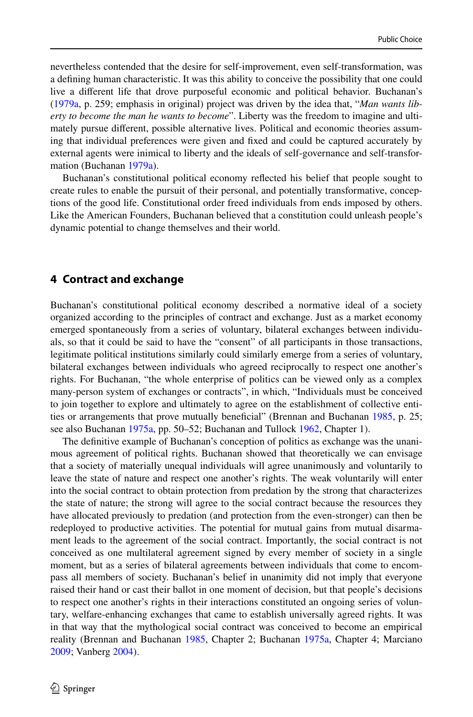nevertheless contended that the desire for self-improvement, even self-transformation, was a defning human characteristic. It was this ability to conceive the possibility that one could live a diferent life that drove purposeful economic and political behavior. Buchanan's ([1979a](#page-12-13), p. 259; emphasis in original) project was driven by the idea that, "*Man wants liberty to become the man he wants to become*". Liberty was the freedom to imagine and ultimately pursue diferent, possible alternative lives. Political and economic theories assuming that individual preferences were given and fxed and could be captured accurately by external agents were inimical to liberty and the ideals of self-governance and self-transformation (Buchanan [1979a](#page-12-13)).

Buchanan's constitutional political economy refected his belief that people sought to create rules to enable the pursuit of their personal, and potentially transformative, conceptions of the good life. Constitutional order freed individuals from ends imposed by others. Like the American Founders, Buchanan believed that a constitution could unleash people's dynamic potential to change themselves and their world.

#### **4 Contract and exchange**

Buchanan's constitutional political economy described a normative ideal of a society organized according to the principles of contract and exchange. Just as a market economy emerged spontaneously from a series of voluntary, bilateral exchanges between individuals, so that it could be said to have the "consent" of all participants in those transactions, legitimate political institutions similarly could similarly emerge from a series of voluntary, bilateral exchanges between individuals who agreed reciprocally to respect one another's rights. For Buchanan, "the whole enterprise of politics can be viewed only as a complex many-person system of exchanges or contracts", in which, "Individuals must be conceived to join together to explore and ultimately to agree on the establishment of collective entities or arrangements that prove mutually benefcial" (Brennan and Buchanan [1985,](#page-12-3) p. 25; see also Buchanan [1975a](#page-12-6), pp. 50–52; Buchanan and Tullock [1962,](#page-13-16) Chapter 1).

The defnitive example of Buchanan's conception of politics as exchange was the unanimous agreement of political rights. Buchanan showed that theoretically we can envisage that a society of materially unequal individuals will agree unanimously and voluntarily to leave the state of nature and respect one another's rights. The weak voluntarily will enter into the social contract to obtain protection from predation by the strong that characterizes the state of nature; the strong will agree to the social contract because the resources they have allocated previously to predation (and protection from the even-stronger) can then be redeployed to productive activities. The potential for mutual gains from mutual disarmament leads to the agreement of the social contract. Importantly, the social contract is not conceived as one multilateral agreement signed by every member of society in a single moment, but as a series of bilateral agreements between individuals that come to encompass all members of society. Buchanan's belief in unanimity did not imply that everyone raised their hand or cast their ballot in one moment of decision, but that people's decisions to respect one another's rights in their interactions constituted an ongoing series of voluntary, welfare-enhancing exchanges that came to establish universally agreed rights. It was in that way that the mythological social contract was conceived to become an empirical reality (Brennan and Buchanan [1985,](#page-12-3) Chapter 2; Buchanan [1975a,](#page-12-6) Chapter 4; Marciano [2009;](#page-13-17) Vanberg [2004\)](#page-14-2).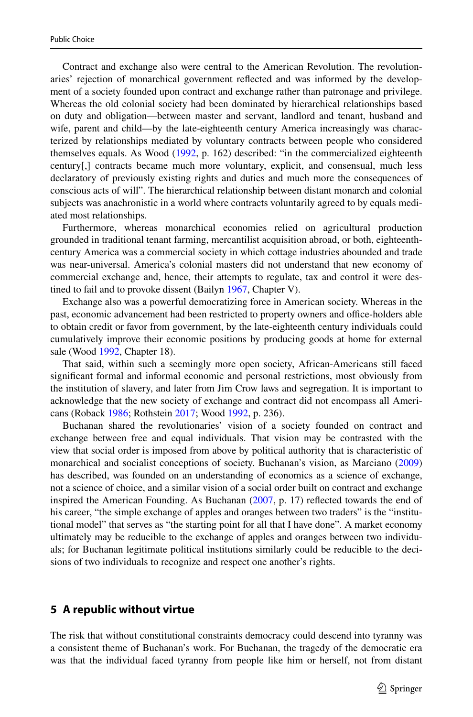Contract and exchange also were central to the American Revolution. The revolutionaries' rejection of monarchical government refected and was informed by the development of a society founded upon contract and exchange rather than patronage and privilege. Whereas the old colonial society had been dominated by hierarchical relationships based on duty and obligation—between master and servant, landlord and tenant, husband and wife, parent and child—by the late-eighteenth century America increasingly was characterized by relationships mediated by voluntary contracts between people who considered themselves equals. As Wood [\(1992](#page-14-0), p. 162) described: "in the commercialized eighteenth century[,] contracts became much more voluntary, explicit, and consensual, much less declaratory of previously existing rights and duties and much more the consequences of conscious acts of will". The hierarchical relationship between distant monarch and colonial subjects was anachronistic in a world where contracts voluntarily agreed to by equals mediated most relationships.

Furthermore, whereas monarchical economies relied on agricultural production grounded in traditional tenant farming, mercantilist acquisition abroad, or both, eighteenthcentury America was a commercial society in which cottage industries abounded and trade was near-universal. America's colonial masters did not understand that new economy of commercial exchange and, hence, their attempts to regulate, tax and control it were destined to fail and to provoke dissent (Bailyn [1967,](#page-12-11) Chapter V).

Exchange also was a powerful democratizing force in American society. Whereas in the past, economic advancement had been restricted to property owners and office-holders able to obtain credit or favor from government, by the late-eighteenth century individuals could cumulatively improve their economic positions by producing goods at home for external sale (Wood [1992](#page-14-0), Chapter 18).

That said, within such a seemingly more open society, African-Americans still faced signifcant formal and informal economic and personal restrictions, most obviously from the institution of slavery, and later from Jim Crow laws and segregation. It is important to acknowledge that the new society of exchange and contract did not encompass all Americans (Roback [1986](#page-13-18); Rothstein [2017;](#page-14-3) Wood [1992,](#page-14-0) p. 236).

Buchanan shared the revolutionaries' vision of a society founded on contract and exchange between free and equal individuals. That vision may be contrasted with the view that social order is imposed from above by political authority that is characteristic of monarchical and socialist conceptions of society. Buchanan's vision, as Marciano [\(2009](#page-13-17)) has described, was founded on an understanding of economics as a science of exchange, not a science of choice, and a similar vision of a social order built on contract and exchange inspired the American Founding. As Buchanan ([2007,](#page-13-19) p. 17) refected towards the end of his career, "the simple exchange of apples and oranges between two traders" is the "institutional model" that serves as "the starting point for all that I have done". A market economy ultimately may be reducible to the exchange of apples and oranges between two individuals; for Buchanan legitimate political institutions similarly could be reducible to the decisions of two individuals to recognize and respect one another's rights.

#### **5 A republic without virtue**

The risk that without constitutional constraints democracy could descend into tyranny was a consistent theme of Buchanan's work. For Buchanan, the tragedy of the democratic era was that the individual faced tyranny from people like him or herself, not from distant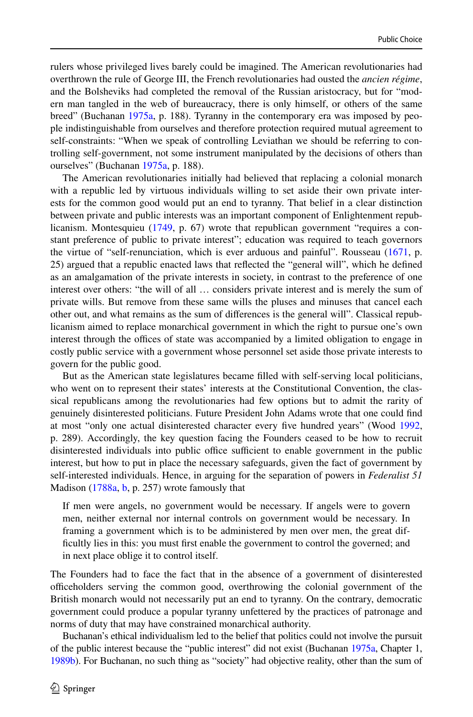rulers whose privileged lives barely could be imagined. The American revolutionaries had overthrown the rule of George III, the French revolutionaries had ousted the *ancien régime*, and the Bolsheviks had completed the removal of the Russian aristocracy, but for "modern man tangled in the web of bureaucracy, there is only himself, or others of the same breed" (Buchanan [1975a](#page-12-6), p. 188). Tyranny in the contemporary era was imposed by people indistinguishable from ourselves and therefore protection required mutual agreement to self-constraints: "When we speak of controlling Leviathan we should be referring to controlling self-government, not some instrument manipulated by the decisions of others than ourselves" (Buchanan [1975a](#page-12-6), p. 188).

The American revolutionaries initially had believed that replacing a colonial monarch with a republic led by virtuous individuals willing to set aside their own private interests for the common good would put an end to tyranny. That belief in a clear distinction between private and public interests was an important component of Enlightenment republicanism. Montesquieu [\(1749](#page-13-20), p. 67) wrote that republican government "requires a constant preference of public to private interest"; education was required to teach governors the virtue of "self-renunciation, which is ever arduous and painful". Rousseau ([1671,](#page-14-4) p. 25) argued that a republic enacted laws that refected the "general will", which he defned as an amalgamation of the private interests in society, in contrast to the preference of one interest over others: "the will of all … considers private interest and is merely the sum of private wills. But remove from these same wills the pluses and minuses that cancel each other out, and what remains as the sum of diferences is the general will". Classical republicanism aimed to replace monarchical government in which the right to pursue one's own interest through the offices of state was accompanied by a limited obligation to engage in costly public service with a government whose personnel set aside those private interests to govern for the public good.

But as the American state legislatures became flled with self-serving local politicians, who went on to represent their states' interests at the Constitutional Convention, the classical republicans among the revolutionaries had few options but to admit the rarity of genuinely disinterested politicians. Future President John Adams wrote that one could fnd at most "only one actual disinterested character every fve hundred years" (Wood [1992](#page-14-0), p. 289). Accordingly, the key question facing the Founders ceased to be how to recruit disinterested individuals into public office sufficient to enable government in the public interest, but how to put in place the necessary safeguards, given the fact of government by self-interested individuals. Hence, in arguing for the separation of powers in *Federalist 51* Madison ([1788a,](#page-13-21) [b](#page-13-22), p. 257) wrote famously that

If men were angels, no government would be necessary. If angels were to govern men, neither external nor internal controls on government would be necessary. In framing a government which is to be administered by men over men, the great diffcultly lies in this: you must frst enable the government to control the governed; and in next place oblige it to control itself.

The Founders had to face the fact that in the absence of a government of disinterested officeholders serving the common good, overthrowing the colonial government of the British monarch would not necessarily put an end to tyranny. On the contrary, democratic government could produce a popular tyranny unfettered by the practices of patronage and norms of duty that may have constrained monarchical authority.

Buchanan's ethical individualism led to the belief that politics could not involve the pursuit of the public interest because the "public interest" did not exist (Buchanan [1975a,](#page-12-6) Chapter 1, [1989b\)](#page-12-14). For Buchanan, no such thing as "society" had objective reality, other than the sum of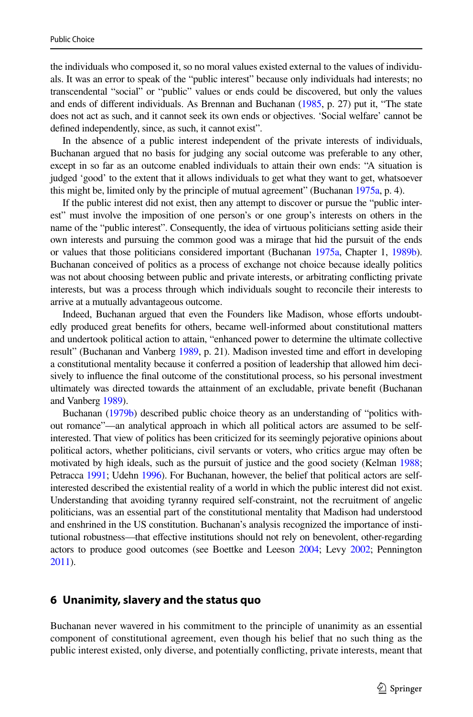the individuals who composed it, so no moral values existed external to the values of individuals. It was an error to speak of the "public interest" because only individuals had interests; no transcendental "social" or "public" values or ends could be discovered, but only the values and ends of diferent individuals. As Brennan and Buchanan [\(1985,](#page-12-3) p. 27) put it, "The state does not act as such, and it cannot seek its own ends or objectives. 'Social welfare' cannot be defned independently, since, as such, it cannot exist".

In the absence of a public interest independent of the private interests of individuals, Buchanan argued that no basis for judging any social outcome was preferable to any other, except in so far as an outcome enabled individuals to attain their own ends: "A situation is judged 'good' to the extent that it allows individuals to get what they want to get, whatsoever this might be, limited only by the principle of mutual agreement" (Buchanan [1975a,](#page-12-6) p. 4).

If the public interest did not exist, then any attempt to discover or pursue the "public interest" must involve the imposition of one person's or one group's interests on others in the name of the "public interest". Consequently, the idea of virtuous politicians setting aside their own interests and pursuing the common good was a mirage that hid the pursuit of the ends or values that those politicians considered important (Buchanan [1975a](#page-12-6), Chapter 1, [1989b](#page-12-14)). Buchanan conceived of politics as a process of exchange not choice because ideally politics was not about choosing between public and private interests, or arbitrating conficting private interests, but was a process through which individuals sought to reconcile their interests to arrive at a mutually advantageous outcome.

Indeed, Buchanan argued that even the Founders like Madison, whose eforts undoubtedly produced great benefts for others, became well-informed about constitutional matters and undertook political action to attain, "enhanced power to determine the ultimate collective result" (Buchanan and Vanberg [1989,](#page-13-7) p. 21). Madison invested time and efort in developing a constitutional mentality because it conferred a position of leadership that allowed him decisively to infuence the fnal outcome of the constitutional process, so his personal investment ultimately was directed towards the attainment of an excludable, private beneft (Buchanan and Vanberg [1989\)](#page-13-7).

Buchanan [\(1979b](#page-12-15)) described public choice theory as an understanding of "politics without romance"—an analytical approach in which all political actors are assumed to be selfinterested. That view of politics has been criticized for its seemingly pejorative opinions about political actors, whether politicians, civil servants or voters, who critics argue may often be motivated by high ideals, such as the pursuit of justice and the good society (Kelman [1988;](#page-13-23) Petracca [1991;](#page-13-24) Udehn [1996\)](#page-14-5). For Buchanan, however, the belief that political actors are selfinterested described the existential reality of a world in which the public interest did not exist. Understanding that avoiding tyranny required self-constraint, not the recruitment of angelic politicians, was an essential part of the constitutional mentality that Madison had understood and enshrined in the US constitution. Buchanan's analysis recognized the importance of institutional robustness—that efective institutions should not rely on benevolent, other-regarding actors to produce good outcomes (see Boettke and Leeson [2004](#page-12-16); Levy [2002](#page-13-25); Pennington [2011](#page-13-26)).

#### **6 Unanimity, slavery and the status quo**

Buchanan never wavered in his commitment to the principle of unanimity as an essential component of constitutional agreement, even though his belief that no such thing as the public interest existed, only diverse, and potentially conficting, private interests, meant that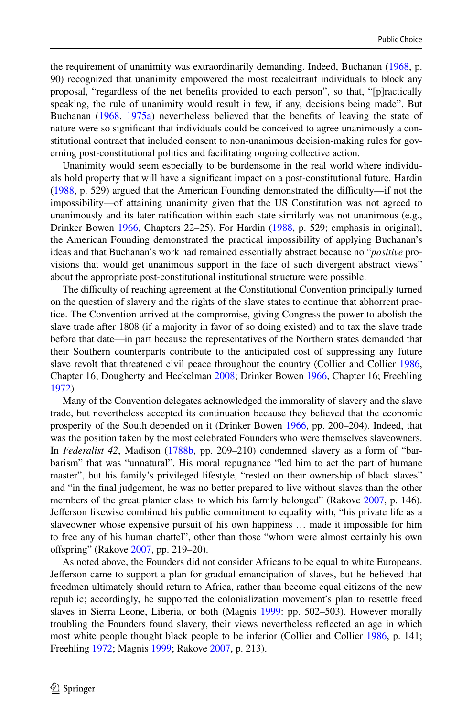the requirement of unanimity was extraordinarily demanding. Indeed, Buchanan [\(1968](#page-12-17), p. 90) recognized that unanimity empowered the most recalcitrant individuals to block any proposal, "regardless of the net benefts provided to each person", so that, "[p]ractically speaking, the rule of unanimity would result in few, if any, decisions being made". But Buchanan ([1968,](#page-12-17) [1975a\)](#page-12-6) nevertheless believed that the benefts of leaving the state of nature were so signifcant that individuals could be conceived to agree unanimously a constitutional contract that included consent to non-unanimous decision-making rules for governing post-constitutional politics and facilitating ongoing collective action.

Unanimity would seem especially to be burdensome in the real world where individuals hold property that will have a signifcant impact on a post-constitutional future. Hardin ([1988,](#page-13-27) p. 529) argued that the American Founding demonstrated the difficulty—if not the impossibility—of attaining unanimity given that the US Constitution was not agreed to unanimously and its later ratifcation within each state similarly was not unanimous (e.g., Drinker Bowen [1966](#page-13-28), Chapters 22–25). For Hardin ([1988,](#page-13-27) p. 529; emphasis in original), the American Founding demonstrated the practical impossibility of applying Buchanan's ideas and that Buchanan's work had remained essentially abstract because no "*positive* provisions that would get unanimous support in the face of such divergent abstract views" about the appropriate post-constitutional institutional structure were possible.

The difculty of reaching agreement at the Constitutional Convention principally turned on the question of slavery and the rights of the slave states to continue that abhorrent practice. The Convention arrived at the compromise, giving Congress the power to abolish the slave trade after 1808 (if a majority in favor of so doing existed) and to tax the slave trade before that date—in part because the representatives of the Northern states demanded that their Southern counterparts contribute to the anticipated cost of suppressing any future slave revolt that threatened civil peace throughout the country (Collier and Collier [1986](#page-13-29), Chapter 16; Dougherty and Heckelman [2008](#page-13-30); Drinker Bowen [1966,](#page-13-28) Chapter 16; Freehling [1972\)](#page-13-31).

Many of the Convention delegates acknowledged the immorality of slavery and the slave trade, but nevertheless accepted its continuation because they believed that the economic prosperity of the South depended on it (Drinker Bowen [1966,](#page-13-28) pp. 200–204). Indeed, that was the position taken by the most celebrated Founders who were themselves slaveowners. In *Federalist 42*, Madison [\(1788b,](#page-13-22) pp. 209–210) condemned slavery as a form of "barbarism" that was "unnatural". His moral repugnance "led him to act the part of humane master", but his family's privileged lifestyle, "rested on their ownership of black slaves" and "in the fnal judgement, he was no better prepared to live without slaves than the other members of the great planter class to which his family belonged" (Rakove [2007](#page-13-32), p. 146). Jeferson likewise combined his public commitment to equality with, "his private life as a slaveowner whose expensive pursuit of his own happiness … made it impossible for him to free any of his human chattel", other than those "whom were almost certainly his own ofspring" (Rakove [2007,](#page-13-32) pp. 219–20).

As noted above, the Founders did not consider Africans to be equal to white Europeans. Jeferson came to support a plan for gradual emancipation of slaves, but he believed that freedmen ultimately should return to Africa, rather than become equal citizens of the new republic; accordingly, he supported the colonialization movement's plan to resettle freed slaves in Sierra Leone, Liberia, or both (Magnis [1999](#page-13-10): pp. 502–503). However morally troubling the Founders found slavery, their views nevertheless refected an age in which most white people thought black people to be inferior (Collier and Collier [1986,](#page-13-29) p. 141; Freehling [1972;](#page-13-31) Magnis [1999](#page-13-10); Rakove [2007](#page-13-32), p. 213).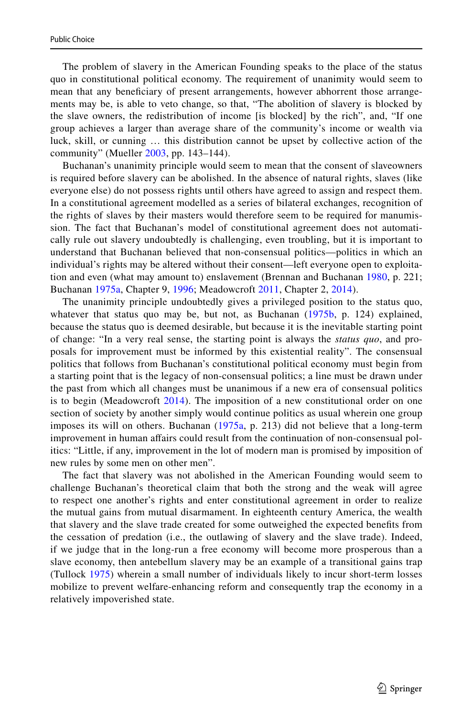The problem of slavery in the American Founding speaks to the place of the status quo in constitutional political economy. The requirement of unanimity would seem to mean that any benefciary of present arrangements, however abhorrent those arrangements may be, is able to veto change, so that, "The abolition of slavery is blocked by the slave owners, the redistribution of income [is blocked] by the rich", and, "If one group achieves a larger than average share of the community's income or wealth via luck, skill, or cunning … this distribution cannot be upset by collective action of the community" (Mueller [2003](#page-13-33), pp. 143–144).

Buchanan's unanimity principle would seem to mean that the consent of slaveowners is required before slavery can be abolished. In the absence of natural rights, slaves (like everyone else) do not possess rights until others have agreed to assign and respect them. In a constitutional agreement modelled as a series of bilateral exchanges, recognition of the rights of slaves by their masters would therefore seem to be required for manumission. The fact that Buchanan's model of constitutional agreement does not automatically rule out slavery undoubtedly is challenging, even troubling, but it is important to understand that Buchanan believed that non-consensual politics—politics in which an individual's rights may be altered without their consent—left everyone open to exploitation and even (what may amount to) enslavement (Brennan and Buchanan [1980](#page-12-18), p. 221; Buchanan [1975a](#page-12-6), Chapter 9, [1996](#page-13-34); Meadowcroft [2011,](#page-13-2) Chapter 2, [2014\)](#page-13-35).

The unanimity principle undoubtedly gives a privileged position to the status quo, whatever that status quo may be, but not, as Buchanan [\(1975b,](#page-12-19) p. 124) explained, because the status quo is deemed desirable, but because it is the inevitable starting point of change: "In a very real sense, the starting point is always the *status quo*, and proposals for improvement must be informed by this existential reality". The consensual politics that follows from Buchanan's constitutional political economy must begin from a starting point that is the legacy of non-consensual politics; a line must be drawn under the past from which all changes must be unanimous if a new era of consensual politics is to begin (Meadowcroft [2014\)](#page-13-35). The imposition of a new constitutional order on one section of society by another simply would continue politics as usual wherein one group imposes its will on others. Buchanan ([1975a](#page-12-6), p. 213) did not believe that a long-term improvement in human afairs could result from the continuation of non-consensual politics: "Little, if any, improvement in the lot of modern man is promised by imposition of new rules by some men on other men".

The fact that slavery was not abolished in the American Founding would seem to challenge Buchanan's theoretical claim that both the strong and the weak will agree to respect one another's rights and enter constitutional agreement in order to realize the mutual gains from mutual disarmament. In eighteenth century America, the wealth that slavery and the slave trade created for some outweighed the expected benefts from the cessation of predation (i.e., the outlawing of slavery and the slave trade). Indeed, if we judge that in the long-run a free economy will become more prosperous than a slave economy, then antebellum slavery may be an example of a transitional gains trap (Tullock [1975\)](#page-14-6) wherein a small number of individuals likely to incur short-term losses mobilize to prevent welfare-enhancing reform and consequently trap the economy in a relatively impoverished state.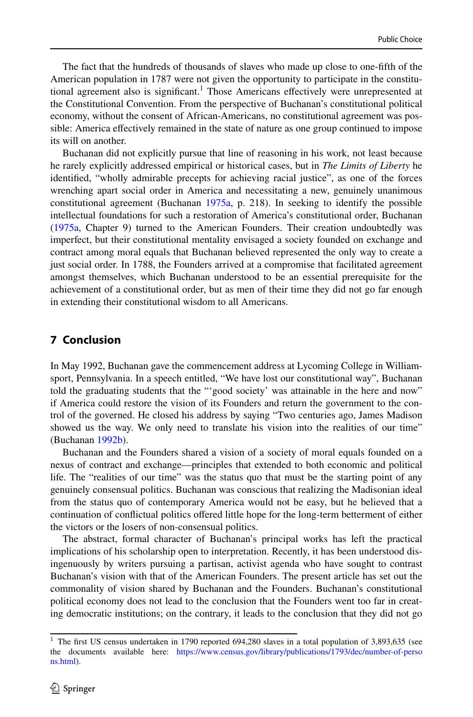The fact that the hundreds of thousands of slaves who made up close to one-ffth of the American population in 1787 were not given the opportunity to participate in the constitu-tional agreement also is significant.<sup>[1](#page-11-0)</sup> Those Americans effectively were unrepresented at the Constitutional Convention. From the perspective of Buchanan's constitutional political economy, without the consent of African-Americans, no constitutional agreement was possible: America efectively remained in the state of nature as one group continued to impose its will on another.

Buchanan did not explicitly pursue that line of reasoning in his work, not least because he rarely explicitly addressed empirical or historical cases, but in *The Limits of Liberty* he identifed, "wholly admirable precepts for achieving racial justice", as one of the forces wrenching apart social order in America and necessitating a new, genuinely unanimous constitutional agreement (Buchanan [1975a](#page-12-6), p. 218). In seeking to identify the possible intellectual foundations for such a restoration of America's constitutional order, Buchanan ([1975a](#page-12-6), Chapter 9) turned to the American Founders. Their creation undoubtedly was imperfect, but their constitutional mentality envisaged a society founded on exchange and contract among moral equals that Buchanan believed represented the only way to create a just social order. In 1788, the Founders arrived at a compromise that facilitated agreement amongst themselves, which Buchanan understood to be an essential prerequisite for the achievement of a constitutional order, but as men of their time they did not go far enough in extending their constitutional wisdom to all Americans.

# **7 Conclusion**

In May 1992, Buchanan gave the commencement address at Lycoming College in Williamsport, Pennsylvania. In a speech entitled, "We have lost our constitutional way", Buchanan told the graduating students that the "'good society' was attainable in the here and now" if America could restore the vision of its Founders and return the government to the control of the governed. He closed his address by saying "Two centuries ago, James Madison showed us the way. We only need to translate his vision into the realities of our time" (Buchanan [1992b\)](#page-12-20).

Buchanan and the Founders shared a vision of a society of moral equals founded on a nexus of contract and exchange—principles that extended to both economic and political life. The "realities of our time" was the status quo that must be the starting point of any genuinely consensual politics. Buchanan was conscious that realizing the Madisonian ideal from the status quo of contemporary America would not be easy, but he believed that a continuation of confictual politics ofered little hope for the long-term betterment of either the victors or the losers of non-consensual politics.

The abstract, formal character of Buchanan's principal works has left the practical implications of his scholarship open to interpretation. Recently, it has been understood disingenuously by writers pursuing a partisan, activist agenda who have sought to contrast Buchanan's vision with that of the American Founders. The present article has set out the commonality of vision shared by Buchanan and the Founders. Buchanan's constitutional political economy does not lead to the conclusion that the Founders went too far in creating democratic institutions; on the contrary, it leads to the conclusion that they did not go

<span id="page-11-0"></span><sup>&</sup>lt;sup>1</sup> The first US census undertaken in 1790 reported 694,280 slaves in a total population of 3,893,635 (see the documents available here: [https://www.census.gov/library/publications/1793/dec/number-of-perso](https://www.census.gov/library/publications/1793/dec/number-of-persons.html) [ns.html\)](https://www.census.gov/library/publications/1793/dec/number-of-persons.html).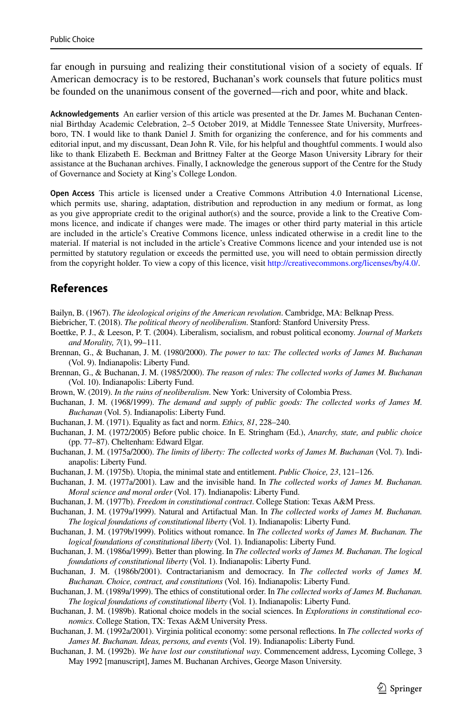far enough in pursuing and realizing their constitutional vision of a society of equals. If American democracy is to be restored, Buchanan's work counsels that future politics must be founded on the unanimous consent of the governed—rich and poor, white and black.

**Acknowledgements** An earlier version of this article was presented at the Dr. James M. Buchanan Centennial Birthday Academic Celebration, 2–5 October 2019, at Middle Tennessee State University, Murfreesboro, TN. I would like to thank Daniel J. Smith for organizing the conference, and for his comments and editorial input, and my discussant, Dean John R. Vile, for his helpful and thoughtful comments. I would also like to thank Elizabeth E. Beckman and Brittney Falter at the George Mason University Library for their assistance at the Buchanan archives. Finally, I acknowledge the generous support of the Centre for the Study of Governance and Society at King's College London.

**Open Access** This article is licensed under a Creative Commons Attribution 4.0 International License, which permits use, sharing, adaptation, distribution and reproduction in any medium or format, as long as you give appropriate credit to the original author(s) and the source, provide a link to the Creative Commons licence, and indicate if changes were made. The images or other third party material in this article are included in the article's Creative Commons licence, unless indicated otherwise in a credit line to the material. If material is not included in the article's Creative Commons licence and your intended use is not permitted by statutory regulation or exceeds the permitted use, you will need to obtain permission directly from the copyright holder. To view a copy of this licence, visit [http://creativecommons.org/licenses/by/4.0/.](http://creativecommons.org/licenses/by/4.0/)

# **References**

<span id="page-12-11"></span>Bailyn, B. (1967). *The ideological origins of the American revolution*. Cambridge, MA: Belknap Press.

<span id="page-12-1"></span>Biebricher, T. (2018). *The political theory of neoliberalism*. Stanford: Stanford University Press.

- <span id="page-12-16"></span>Boettke, P. J., & Leeson, P. T. (2004). Liberalism, socialism, and robust political economy. *Journal of Markets and Morality, 7*(1), 99–111.
- <span id="page-12-18"></span>Brennan, G., & Buchanan, J. M. (1980/2000). *The power to tax: The collected works of James M. Buchanan* (Vol. 9). Indianapolis: Liberty Fund.
- <span id="page-12-3"></span>Brennan, G., & Buchanan, J. M. (1985/2000). *The reason of rules: The collected works of James M. Buchanan* (Vol. 10). Indianapolis: Liberty Fund.
- <span id="page-12-0"></span>Brown, W. (2019). *In the ruins of neoliberalism*. New York: University of Colombia Press.
- <span id="page-12-17"></span>Buchanan, J. M. (1968/1999). *The demand and supply of public goods: The collected works of James M. Buchanan* (Vol. 5). Indianapolis: Liberty Fund.
- <span id="page-12-9"></span>Buchanan, J. M. (1971). Equality as fact and norm. *Ethics, 81*, 228–240.

<span id="page-12-5"></span>Buchanan, J. M. (1972/2005) Before public choice. In E. Stringham (Ed.), *Anarchy, state, and public choice* (pp. 77–87). Cheltenham: Edward Elgar.

- <span id="page-12-6"></span>Buchanan, J. M. (1975a/2000). *The limits of liberty: The collected works of James M. Buchanan* (Vol. 7). Indianapolis: Liberty Fund.
- <span id="page-12-19"></span>Buchanan, J. M. (1975b). Utopia, the minimal state and entitlement. *Public Choice, 23*, 121–126.
- <span id="page-12-7"></span>Buchanan, J. M. (1977a/2001). Law and the invisible hand. In *The collected works of James M. Buchanan. Moral science and moral order* (Vol. 17). Indianapolis: Liberty Fund.
- <span id="page-12-12"></span>Buchanan, J. M. (1977b). *Freedom in constitutional contract*. College Station: Texas A&M Press.
- <span id="page-12-13"></span>Buchanan, J. M. (1979a/1999). Natural and Artifactual Man. In *The collected works of James M. Buchanan. The logical foundations of constitutional liberty* (Vol. 1). Indianapolis: Liberty Fund.
- <span id="page-12-15"></span>Buchanan, J. M. (1979b/1999). Politics without romance. In *The collected works of James M. Buchanan. The logical foundations of constitutional liberty* (Vol. 1). Indianapolis: Liberty Fund.
- <span id="page-12-2"></span>Buchanan, J. M. (1986a/1999). Better than plowing. In *The collected works of James M. Buchanan. The logical foundations of constitutional liberty* (Vol. 1). Indianapolis: Liberty Fund.
- <span id="page-12-10"></span>Buchanan, J. M. (1986b/2001). Contractarianism and democracy. In *The collected works of James M. Buchanan. Choice, contract, and constitutions* (Vol. 16). Indianapolis: Liberty Fund.
- <span id="page-12-8"></span>Buchanan, J. M. (1989a/1999). The ethics of constitutional order. In *The collected works of James M. Buchanan. The logical foundations of constitutional liberty* (Vol. 1). Indianapolis: Liberty Fund.
- <span id="page-12-14"></span>Buchanan, J. M. (1989b). Rational choice models in the social sciences. In *Explorations in constitutional economics*. College Station, TX: Texas A&M University Press.
- <span id="page-12-4"></span>Buchanan, J. M. (1992a/2001). Virginia political economy: some personal refections. In *The collected works of James M. Buchanan. Ideas, persons, and events* (Vol. 19). Indianapolis: Liberty Fund.
- <span id="page-12-20"></span>Buchanan, J. M. (1992b). *We have lost our constitutional way*. Commencement address, Lycoming College, 3 May 1992 [manuscript], James M. Buchanan Archives, George Mason University.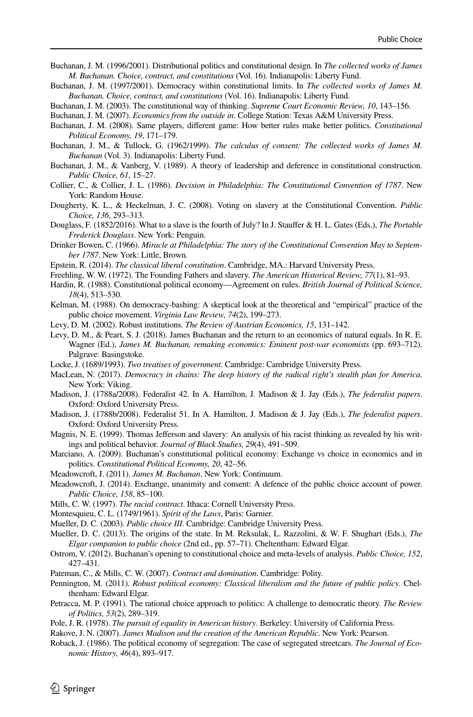- <span id="page-13-34"></span>Buchanan, J. M. (1996/2001). Distributional politics and constitutional design. In *The collected works of James M. Buchanan. Choice, contract, and constitutions* (Vol. 16). Indianapolis: Liberty Fund.
- <span id="page-13-6"></span>Buchanan, J. M. (1997/2001). Democracy within constitutional limits. In *The collected works of James M. Buchanan. Choice, contract, and constitutions* (Vol. 16). Indianapolis: Liberty Fund.
- <span id="page-13-4"></span>Buchanan, J. M. (2003). The constitutional way of thinking. *Supreme Court Economic Review, 10*, 143–156.

<span id="page-13-19"></span>Buchanan, J. M. (2007). *Economics from the outside in*. College Station: Texas A&M University Press.

- <span id="page-13-5"></span>Buchanan, J. M. (2008). Same players, diferent game: How better rules make better politics. *Constitutional Political Economy, 19*, 171–179.
- <span id="page-13-16"></span>Buchanan, J. M., & Tullock, G. (1962/1999). *The calculus of consent: The collected works of James M. Buchanan* (Vol. 3). Indianapolis: Liberty Fund.
- <span id="page-13-7"></span>Buchanan, J. M., & Vanberg, V. (1989). A theory of leadership and deference in constitutional construction. *Public Choice, 61*, 15–27.
- <span id="page-13-29"></span>Collier, C., & Collier, J. L. (1986). *Decision in Philadelphia: The Constitutional Convention of 1787*. New York: Random House.
- <span id="page-13-30"></span>Dougherty, K. L., & Heckelman, J. C. (2008). Voting on slavery at the Constitutional Convention. *Public Choice, 136*, 293–313.
- <span id="page-13-13"></span>Douglass, F. (1852/2016). What to a slave is the fourth of July? In J. Staufer & H. L. Gates (Eds.), *The Portable Frederick Douglass*. New York: Penguin.
- <span id="page-13-28"></span>Drinker Bowen, C. (1966). *Miracle at Philadelphia: The story of the Constitutional Convention May to September 1787*. New York: Little, Brown.
- <span id="page-13-3"></span>Epstein, R. (2014). *The classical liberal constitution*. Cambridge, MA.: Harvard University Press.
- <span id="page-13-31"></span>Freehling, W. W. (1972). The Founding Fathers and slavery. *The American Historical Review, 77*(1), 81–93.
- <span id="page-13-27"></span>Hardin, R. (1988). Constitutional political economy—Agreement on rules. *British Journal of Political Science, 18*(4), 513–530.
- <span id="page-13-23"></span>Kelman, M. (1988). On democracy-bashing: A skeptical look at the theoretical and "empirical" practice of the public choice movement. *Virginia Law Review, 74*(2), 199–273.
- <span id="page-13-25"></span>Levy, D. M. (2002). Robust institutions. *The Review of Austrian Economics, 15*, 131–142.
- <span id="page-13-14"></span>Levy, D. M., & Peart, S. J. (2018). James Buchanan and the return to an economics of natural equals. In R. E. Wagner (Ed.), *James M. Buchanan, remaking economics: Eminent post-war economists* (pp. 693–712). Palgrave: Basingstoke.
- <span id="page-13-15"></span>Locke, J. (1689/1993). *Two treatises of government*. Cambridge: Cambridge University Press.
- <span id="page-13-0"></span>MacLean, N. (2017). *Democracy in chains: The deep history of the radical right's stealth plan for America*. New York: Viking.
- <span id="page-13-21"></span>Madison, J. (1788a/2008). Federalist 42. In A. Hamilton, J. Madison & J. Jay (Eds.), *The federalist papers*. Oxford: Oxford University Press.
- <span id="page-13-22"></span>Madison, J. (1788b/2008). Federalist 51. In A. Hamilton, J. Madison & J. Jay (Eds.), *The federalist papers*. Oxford: Oxford University Press.
- <span id="page-13-10"></span>Magnis, N. E. (1999). Thomas Jefferson and slavery: An analysis of his racist thinking as revealed by his writings and political behavior. *Journal of Black Studies, 29*(4), 491–509.
- <span id="page-13-17"></span>Marciano, A. (2009). Buchanan's constitutional political economy: Exchange vs choice in economics and in politics. *Constitutional Political Economy, 20*, 42–56.
- <span id="page-13-2"></span>Meadowcroft, J. (2011). *James M. Buchanan*. New York: Continuum.
- <span id="page-13-35"></span>Meadowcroft, J. (2014). Exchange, unanimity and consent: A defence of the public choice account of power. *Public Choice, 158*, 85–100.
- <span id="page-13-11"></span>Mills, C. W. (1997). *The racial contract*. Ithaca: Cornell University Press.
- <span id="page-13-20"></span>Montesquieu, C. L. (1749/1961). *Spirit of the Laws*, Paris: Garnier.
- <span id="page-13-33"></span>Mueller, D. C. (2003). *Public choice III*. Cambridge: Cambridge University Press.
- <span id="page-13-1"></span>Mueller, D. C. (2013). The origins of the state. In M. Reksulak, L. Razzolini, & W. F. Shughart (Eds.), *The Elgar companion to public choice* (2nd ed., pp. 57–71). Cheltentham: Edward Elgar.
- <span id="page-13-8"></span>Ostrom, V. (2012). Buchanan's opening to constitutional choice and meta-levels of analysis. *Public Choice, 152*, 427–431.
- <span id="page-13-12"></span>Pateman, C., & Mills, C. W. (2007). *Contract and domination*. Cambridge: Polity.
- <span id="page-13-26"></span>Pennington, M. (2011). *Robust political economy: Classical liberalism and the future of public policy*. Chelthenham: Edward Elgar.
- <span id="page-13-24"></span>Petracca, M. P. (1991). The rational choice approach to politics: A challenge to democratic theory. *The Review of Politics, 53*(2), 289–319.
- <span id="page-13-9"></span>Pole, J. R. (1978). *The pursuit of equality in American history*. Berkeley: University of California Press.
- <span id="page-13-32"></span>Rakove, J. N. (2007). *James Madison and the creation of the American Republic*. New York: Pearson.
- <span id="page-13-18"></span>Roback, J. (1986). The political economy of segregation: The case of segregated streetcars. *The Journal of Economic History, 46*(4), 893–917.